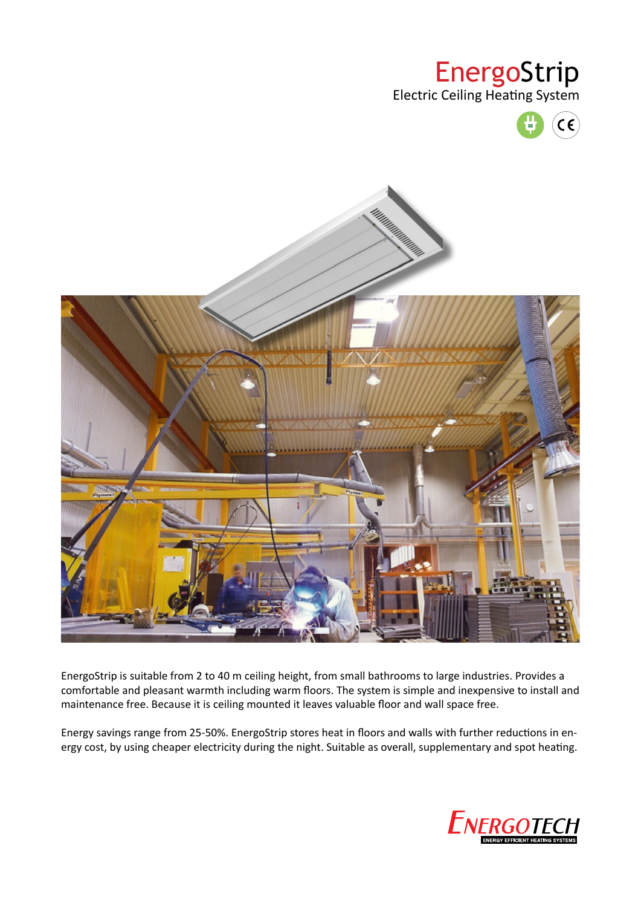# EnergoStrip

Electric Ceiling Heating System





EnergoStrip is suitable from 2 to 40 m ceiling height, from small bathrooms to large industries. Provides a comfortable and pleasant warmth including warm floors. The system is simple and inexpensive to install and maintenance free. Because it is ceiling mounted it leaves valuable floor and wall space free.

Energy savings range from 25-50%. EnergoStrip stores heat in floors and walls with further reductions in energy cost, by using cheaper electricity during the night. Suitable as overall, supplementary and spot heating.